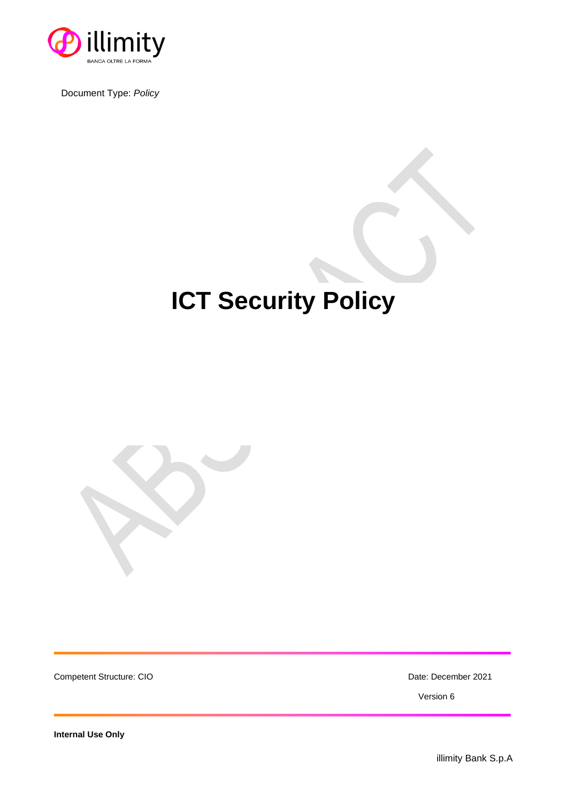

Document Type: *Policy*

# **ICT Security Policy**



Competent Structure: CIO **Date: December 2021** 

Version 6

**Internal Use Only**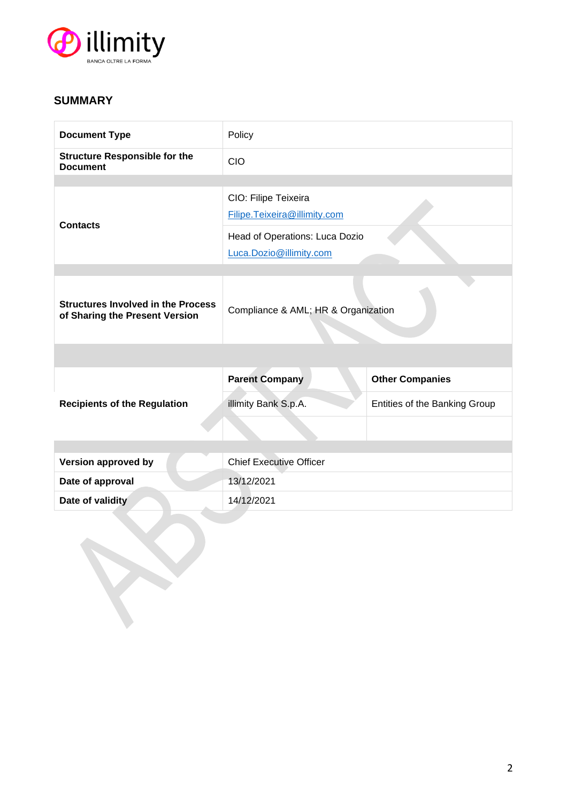

# **SUMMARY**

| <b>Document Type</b>                                                        | Policy                                               |                               |  |
|-----------------------------------------------------------------------------|------------------------------------------------------|-------------------------------|--|
| <b>Structure Responsible for the</b><br><b>Document</b>                     | <b>CIO</b>                                           |                               |  |
|                                                                             |                                                      |                               |  |
|                                                                             | CIO: Filipe Teixeira<br>Filipe.Teixeira@illimity.com |                               |  |
| <b>Contacts</b>                                                             |                                                      |                               |  |
|                                                                             | Head of Operations: Luca Dozio                       |                               |  |
|                                                                             | Luca.Dozio@illimity.com                              |                               |  |
| <b>Structures Involved in the Process</b><br>of Sharing the Present Version | Compliance & AML; HR & Organization                  |                               |  |
|                                                                             |                                                      |                               |  |
|                                                                             | <b>Parent Company</b>                                | <b>Other Companies</b>        |  |
| <b>Recipients of the Regulation</b>                                         | illimity Bank S.p.A.                                 | Entities of the Banking Group |  |
|                                                                             |                                                      |                               |  |
|                                                                             |                                                      |                               |  |
| <b>Version approved by</b>                                                  | <b>Chief Executive Officer</b>                       |                               |  |
| Date of approval                                                            | 13/12/2021                                           |                               |  |
| Date of validity                                                            | 14/12/2021                                           |                               |  |
|                                                                             |                                                      |                               |  |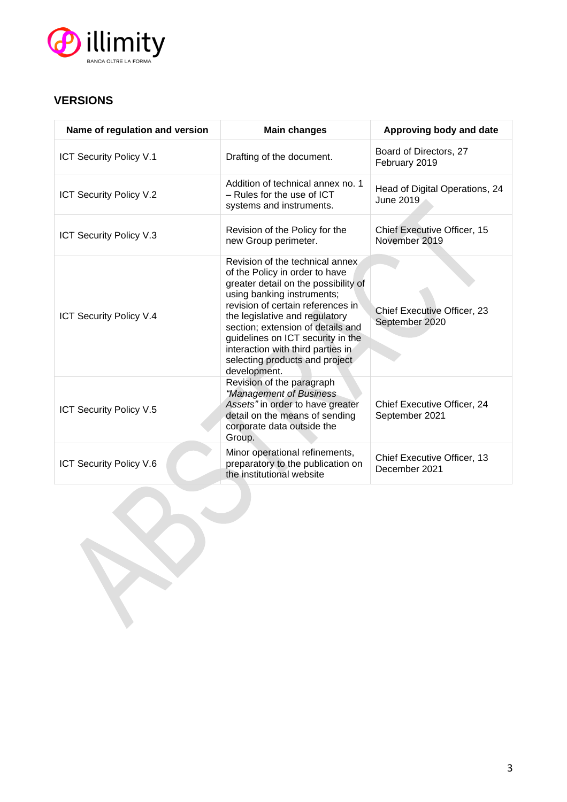

# **VERSIONS**

| Name of regulation and version | <b>Main changes</b>                                                                                                                                                                                                                                                                                                                                                              | Approving body and date                       |
|--------------------------------|----------------------------------------------------------------------------------------------------------------------------------------------------------------------------------------------------------------------------------------------------------------------------------------------------------------------------------------------------------------------------------|-----------------------------------------------|
| <b>ICT Security Policy V.1</b> | Drafting of the document.                                                                                                                                                                                                                                                                                                                                                        | Board of Directors, 27<br>February 2019       |
| ICT Security Policy V.2        | Addition of technical annex no. 1<br>- Rules for the use of ICT<br>systems and instruments.                                                                                                                                                                                                                                                                                      | Head of Digital Operations, 24<br>June 2019   |
| ICT Security Policy V.3        | Revision of the Policy for the<br>new Group perimeter.                                                                                                                                                                                                                                                                                                                           | Chief Executive Officer, 15<br>November 2019  |
| ICT Security Policy V.4        | Revision of the technical annex.<br>of the Policy in order to have<br>greater detail on the possibility of<br>using banking instruments;<br>revision of certain references in<br>the legislative and regulatory<br>section; extension of details and<br>guidelines on ICT security in the<br>interaction with third parties in<br>selecting products and project<br>development. | Chief Executive Officer, 23<br>September 2020 |
| <b>ICT Security Policy V.5</b> | Revision of the paragraph<br>"Management of Business<br>Assets" in order to have greater<br>detail on the means of sending<br>corporate data outside the<br>Group.                                                                                                                                                                                                               | Chief Executive Officer, 24<br>September 2021 |
| ICT Security Policy V.6        | Minor operational refinements,<br>preparatory to the publication on<br>the institutional website                                                                                                                                                                                                                                                                                 | Chief Executive Officer, 13<br>December 2021  |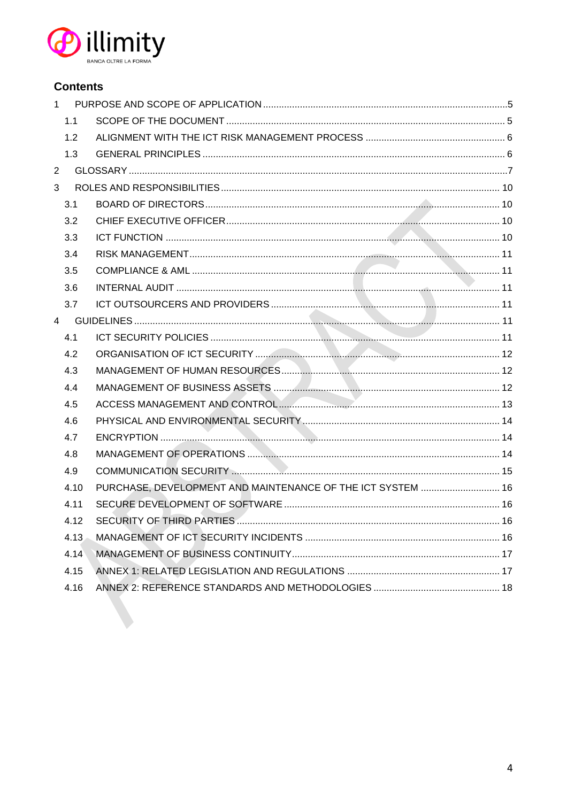

# **Contents**

|                | 1 <sup>1</sup> |                                                                                                                                                                                                                               |  |
|----------------|----------------|-------------------------------------------------------------------------------------------------------------------------------------------------------------------------------------------------------------------------------|--|
|                | 1.1            |                                                                                                                                                                                                                               |  |
|                | 1.2            |                                                                                                                                                                                                                               |  |
|                | 1.3            |                                                                                                                                                                                                                               |  |
| $\overline{2}$ |                |                                                                                                                                                                                                                               |  |
| 3              |                |                                                                                                                                                                                                                               |  |
|                | 3.1            |                                                                                                                                                                                                                               |  |
|                | 3.2            |                                                                                                                                                                                                                               |  |
|                | 3.3            |                                                                                                                                                                                                                               |  |
|                | 3.4            |                                                                                                                                                                                                                               |  |
|                | 3.5            |                                                                                                                                                                                                                               |  |
|                | 3.6            |                                                                                                                                                                                                                               |  |
|                | 3.7            |                                                                                                                                                                                                                               |  |
|                |                |                                                                                                                                                                                                                               |  |
|                | 4.1            |                                                                                                                                                                                                                               |  |
|                | 4.2            |                                                                                                                                                                                                                               |  |
|                | 4.3            |                                                                                                                                                                                                                               |  |
|                | 4.4            |                                                                                                                                                                                                                               |  |
|                | 4.5            | ACCESS MANAGEMENT AND CONTROL Express and the control of the control of the control of the control of the control of the control of the control of the control of the control of the control of the control of the control of |  |
|                | 4.6            |                                                                                                                                                                                                                               |  |
|                | 4.7            |                                                                                                                                                                                                                               |  |
|                | 4.8            |                                                                                                                                                                                                                               |  |
|                | 4.9            |                                                                                                                                                                                                                               |  |
|                | 4.10           | PURCHASE, DEVELOPMENT AND MAINTENANCE OF THE ICT SYSTEM  16                                                                                                                                                                   |  |
|                | 4.11           |                                                                                                                                                                                                                               |  |
|                | 4.12           |                                                                                                                                                                                                                               |  |
|                | 4.13           |                                                                                                                                                                                                                               |  |
|                | 4.14           |                                                                                                                                                                                                                               |  |
|                | 4.15           |                                                                                                                                                                                                                               |  |
|                | 4.16           |                                                                                                                                                                                                                               |  |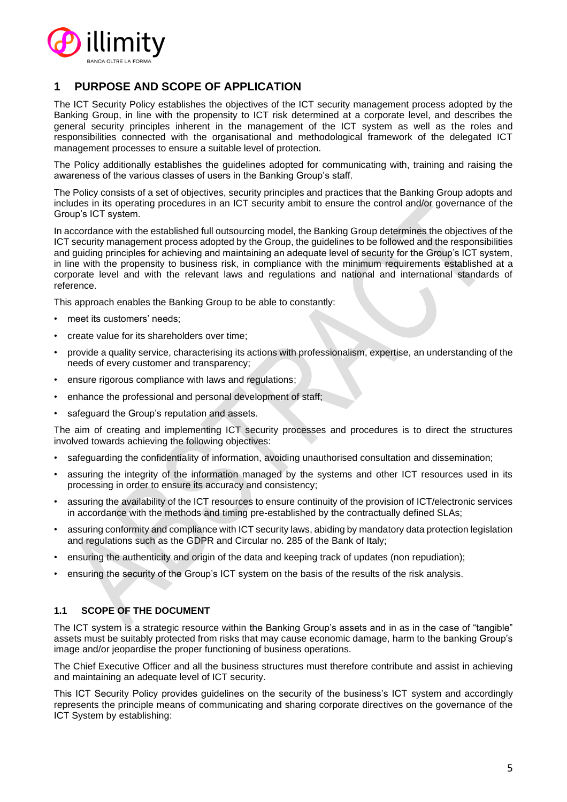

# **1 PURPOSE AND SCOPE OF APPLICATION**

The ICT Security Policy establishes the objectives of the ICT security management process adopted by the Banking Group, in line with the propensity to ICT risk determined at a corporate level, and describes the general security principles inherent in the management of the ICT system as well as the roles and responsibilities connected with the organisational and methodological framework of the delegated ICT management processes to ensure a suitable level of protection.

The Policy additionally establishes the guidelines adopted for communicating with, training and raising the awareness of the various classes of users in the Banking Group's staff.

The Policy consists of a set of objectives, security principles and practices that the Banking Group adopts and includes in its operating procedures in an ICT security ambit to ensure the control and/or governance of the Group's ICT system.

In accordance with the established full outsourcing model, the Banking Group determines the objectives of the ICT security management process adopted by the Group, the guidelines to be followed and the responsibilities and guiding principles for achieving and maintaining an adequate level of security for the Group's ICT system, in line with the propensity to business risk, in compliance with the minimum requirements established at a corporate level and with the relevant laws and regulations and national and international standards of reference.

This approach enables the Banking Group to be able to constantly:

- meet its customers' needs;
- create value for its shareholders over time;
- provide a quality service, characterising its actions with professionalism, expertise, an understanding of the needs of every customer and transparency;
- ensure rigorous compliance with laws and regulations;
- enhance the professional and personal development of staff;
- safeguard the Group's reputation and assets.

The aim of creating and implementing ICT security processes and procedures is to direct the structures involved towards achieving the following objectives:

- safeguarding the confidentiality of information, avoiding unauthorised consultation and dissemination;
- assuring the integrity of the information managed by the systems and other ICT resources used in its processing in order to ensure its accuracy and consistency;
- assuring the availability of the ICT resources to ensure continuity of the provision of ICT/electronic services in accordance with the methods and timing pre-established by the contractually defined SLAs;
- assuring conformity and compliance with ICT security laws, abiding by mandatory data protection legislation and regulations such as the GDPR and Circular no. 285 of the Bank of Italy;
- ensuring the authenticity and origin of the data and keeping track of updates (non repudiation);
- ensuring the security of the Group's ICT system on the basis of the results of the risk analysis.

# **1.1 SCOPE OF THE DOCUMENT**

The ICT system is a strategic resource within the Banking Group's assets and in as in the case of "tangible" assets must be suitably protected from risks that may cause economic damage, harm to the banking Group's image and/or jeopardise the proper functioning of business operations.

The Chief Executive Officer and all the business structures must therefore contribute and assist in achieving and maintaining an adequate level of ICT security.

This ICT Security Policy provides guidelines on the security of the business's ICT system and accordingly represents the principle means of communicating and sharing corporate directives on the governance of the ICT System by establishing: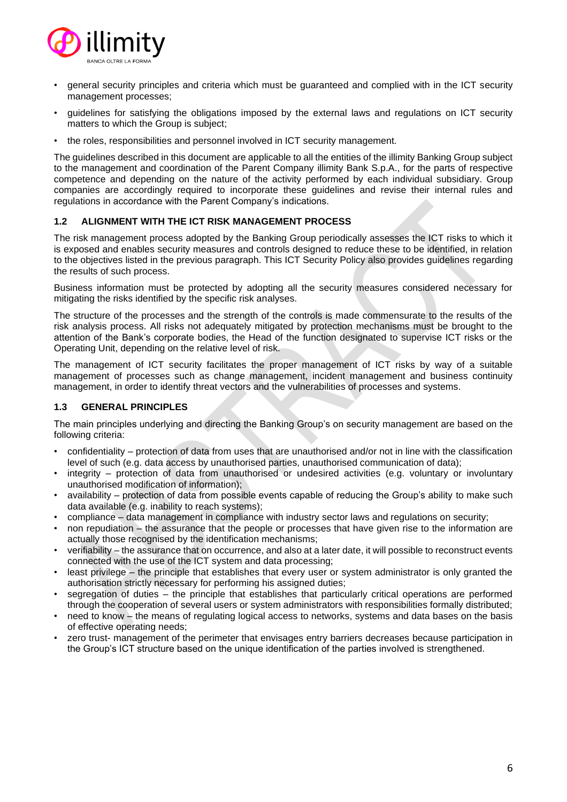

- general security principles and criteria which must be guaranteed and complied with in the ICT security management processes;
- guidelines for satisfying the obligations imposed by the external laws and regulations on ICT security matters to which the Group is subject;
- the roles, responsibilities and personnel involved in ICT security management.

The guidelines described in this document are applicable to all the entities of the illimity Banking Group subject to the management and coordination of the Parent Company illimity Bank S.p.A., for the parts of respective competence and depending on the nature of the activity performed by each individual subsidiary. Group companies are accordingly required to incorporate these guidelines and revise their internal rules and regulations in accordance with the Parent Company's indications.

# **1.2 ALIGNMENT WITH THE ICT RISK MANAGEMENT PROCESS**

The risk management process adopted by the Banking Group periodically assesses the ICT risks to which it is exposed and enables security measures and controls designed to reduce these to be identified, in relation to the objectives listed in the previous paragraph. This ICT Security Policy also provides guidelines regarding the results of such process.

Business information must be protected by adopting all the security measures considered necessary for mitigating the risks identified by the specific risk analyses.

The structure of the processes and the strength of the controls is made commensurate to the results of the risk analysis process. All risks not adequately mitigated by protection mechanisms must be brought to the attention of the Bank's corporate bodies, the Head of the function designated to supervise ICT risks or the Operating Unit, depending on the relative level of risk.

The management of ICT security facilitates the proper management of ICT risks by way of a suitable management of processes such as change management, incident management and business continuity management, in order to identify threat vectors and the vulnerabilities of processes and systems.

# **1.3 GENERAL PRINCIPLES**

The main principles underlying and directing the Banking Group's on security management are based on the following criteria:

- confidentiality protection of data from uses that are unauthorised and/or not in line with the classification level of such (e.g. data access by unauthorised parties, unauthorised communication of data);
- integrity protection of data from unauthorised or undesired activities (e.g. voluntary or involuntary unauthorised modification of information);
- availability protection of data from possible events capable of reducing the Group's ability to make such data available (e.g. inability to reach systems);
- compliance data management in compliance with industry sector laws and regulations on security;
- non repudiation the assurance that the people or processes that have given rise to the information are actually those recognised by the identification mechanisms;
- verifiability the assurance that on occurrence, and also at a later date, it will possible to reconstruct events connected with the use of the ICT system and data processing;
- least privilege the principle that establishes that every user or system administrator is only granted the authorisation strictly necessary for performing his assigned duties;
- segregation of duties the principle that establishes that particularly critical operations are performed
- through the cooperation of several users or system administrators with responsibilities formally distributed; • need to know – the means of regulating logical access to networks, systems and data bases on the basis of effective operating needs;
- zero trust- management of the perimeter that envisages entry barriers decreases because participation in the Group's ICT structure based on the unique identification of the parties involved is strengthened.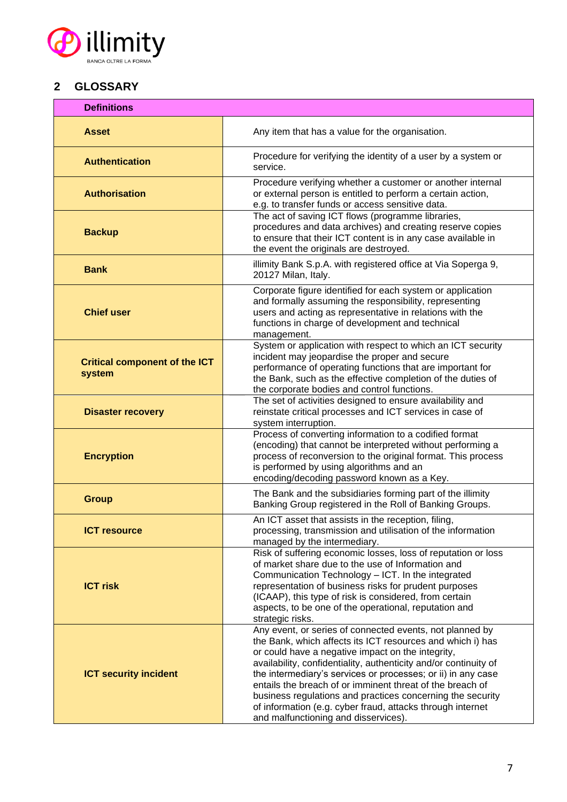

# **2 GLOSSARY**

| <b>Definitions</b>                             |                                                                                                                                                                                                                                                                                                                                                                                                                                                                                                                                                  |  |
|------------------------------------------------|--------------------------------------------------------------------------------------------------------------------------------------------------------------------------------------------------------------------------------------------------------------------------------------------------------------------------------------------------------------------------------------------------------------------------------------------------------------------------------------------------------------------------------------------------|--|
| <b>Asset</b>                                   | Any item that has a value for the organisation.                                                                                                                                                                                                                                                                                                                                                                                                                                                                                                  |  |
| <b>Authentication</b>                          | Procedure for verifying the identity of a user by a system or<br>service.                                                                                                                                                                                                                                                                                                                                                                                                                                                                        |  |
| <b>Authorisation</b>                           | Procedure verifying whether a customer or another internal<br>or external person is entitled to perform a certain action,<br>e.g. to transfer funds or access sensitive data.                                                                                                                                                                                                                                                                                                                                                                    |  |
| <b>Backup</b>                                  | The act of saving ICT flows (programme libraries,<br>procedures and data archives) and creating reserve copies<br>to ensure that their ICT content is in any case available in<br>the event the originals are destroyed.                                                                                                                                                                                                                                                                                                                         |  |
| <b>Bank</b>                                    | illimity Bank S.p.A. with registered office at Via Soperga 9,<br>20127 Milan, Italy.                                                                                                                                                                                                                                                                                                                                                                                                                                                             |  |
| <b>Chief user</b>                              | Corporate figure identified for each system or application<br>and formally assuming the responsibility, representing<br>users and acting as representative in relations with the<br>functions in charge of development and technical<br>management.                                                                                                                                                                                                                                                                                              |  |
| <b>Critical component of the ICT</b><br>system | System or application with respect to which an ICT security<br>incident may jeopardise the proper and secure<br>performance of operating functions that are important for<br>the Bank, such as the effective completion of the duties of<br>the corporate bodies and control functions.                                                                                                                                                                                                                                                          |  |
| <b>Disaster recovery</b>                       | The set of activities designed to ensure availability and<br>reinstate critical processes and ICT services in case of<br>system interruption.                                                                                                                                                                                                                                                                                                                                                                                                    |  |
| <b>Encryption</b>                              | Process of converting information to a codified format<br>(encoding) that cannot be interpreted without performing a<br>process of reconversion to the original format. This process<br>is performed by using algorithms and an<br>encoding/decoding password known as a Key.                                                                                                                                                                                                                                                                    |  |
| <b>Group</b>                                   | The Bank and the subsidiaries forming part of the illimity<br>Banking Group registered in the Roll of Banking Groups.                                                                                                                                                                                                                                                                                                                                                                                                                            |  |
| <b>ICT resource</b>                            | An ICT asset that assists in the reception, filing,<br>processing, transmission and utilisation of the information<br>managed by the intermediary.                                                                                                                                                                                                                                                                                                                                                                                               |  |
| <b>ICT risk</b>                                | Risk of suffering economic losses, loss of reputation or loss<br>of market share due to the use of Information and<br>Communication Technology - ICT. In the integrated<br>representation of business risks for prudent purposes<br>(ICAAP), this type of risk is considered, from certain<br>aspects, to be one of the operational, reputation and<br>strategic risks.                                                                                                                                                                          |  |
| <b>ICT security incident</b>                   | Any event, or series of connected events, not planned by<br>the Bank, which affects its ICT resources and which i) has<br>or could have a negative impact on the integrity,<br>availability, confidentiality, authenticity and/or continuity of<br>the intermediary's services or processes; or ii) in any case<br>entails the breach of or imminent threat of the breach of<br>business regulations and practices concerning the security<br>of information (e.g. cyber fraud, attacks through internet<br>and malfunctioning and disservices). |  |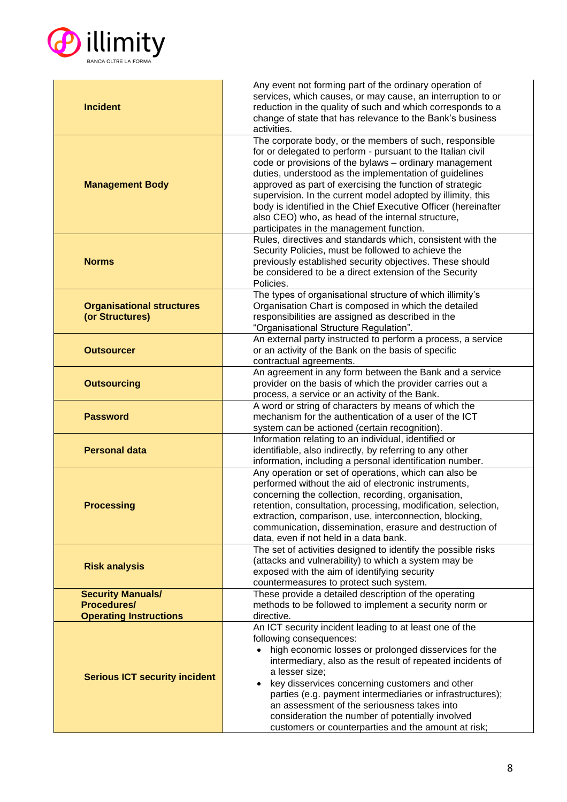

| <b>Incident</b><br>reduction in the quality of such and which corresponds to a<br>change of state that has relevance to the Bank's business<br>activities.<br>The corporate body, or the members of such, responsible<br>for or delegated to perform - pursuant to the Italian civil<br>code or provisions of the bylaws - ordinary management<br>duties, understood as the implementation of guidelines<br><b>Management Body</b><br>approved as part of exercising the function of strategic<br>supervision. In the current model adopted by illimity, this<br>body is identified in the Chief Executive Officer (hereinafter<br>also CEO) who, as head of the internal structure,<br>participates in the management function.<br>Rules, directives and standards which, consistent with the<br>Security Policies, must be followed to achieve the<br>previously established security objectives. These should<br><b>Norms</b><br>be considered to be a direct extension of the Security<br>Policies.<br>The types of organisational structure of which illimity's<br>Organisation Chart is composed in which the detailed<br><b>Organisational structures</b><br>(or Structures)<br>responsibilities are assigned as described in the<br>"Organisational Structure Regulation".<br>An external party instructed to perform a process, a service<br>or an activity of the Bank on the basis of specific<br><b>Outsourcer</b><br>contractual agreements.<br>An agreement in any form between the Bank and a service<br><b>Outsourcing</b><br>provider on the basis of which the provider carries out a<br>process, a service or an activity of the Bank.<br>A word or string of characters by means of which the<br>mechanism for the authentication of a user of the ICT<br><b>Password</b><br>system can be actioned (certain recognition).<br>Information relating to an individual, identified or<br><b>Personal data</b><br>identifiable, also indirectly, by referring to any other<br>information, including a personal identification number.<br>Any operation or set of operations, which can also be<br>performed without the aid of electronic instruments,<br>concerning the collection, recording, organisation,<br>retention, consultation, processing, modification, selection,<br><b>Processing</b><br>extraction, comparison, use, interconnection, blocking,<br>communication, dissemination, erasure and destruction of<br>data, even if not held in a data bank.<br>The set of activities designed to identify the possible risks<br>(attacks and vulnerability) to which a system may be<br><b>Risk analysis</b><br>exposed with the aim of identifying security<br>countermeasures to protect such system.<br><b>Security Manuals/</b><br>These provide a detailed description of the operating<br><b>Procedures/</b><br>methods to be followed to implement a security norm or<br><b>Operating Instructions</b><br>directive.<br>An ICT security incident leading to at least one of the<br>following consequences: | Any event not forming part of the ordinary operation of<br>services, which causes, or may cause, an interruption to or |  |
|---------------------------------------------------------------------------------------------------------------------------------------------------------------------------------------------------------------------------------------------------------------------------------------------------------------------------------------------------------------------------------------------------------------------------------------------------------------------------------------------------------------------------------------------------------------------------------------------------------------------------------------------------------------------------------------------------------------------------------------------------------------------------------------------------------------------------------------------------------------------------------------------------------------------------------------------------------------------------------------------------------------------------------------------------------------------------------------------------------------------------------------------------------------------------------------------------------------------------------------------------------------------------------------------------------------------------------------------------------------------------------------------------------------------------------------------------------------------------------------------------------------------------------------------------------------------------------------------------------------------------------------------------------------------------------------------------------------------------------------------------------------------------------------------------------------------------------------------------------------------------------------------------------------------------------------------------------------------------------------------------------------------------------------------------------------------------------------------------------------------------------------------------------------------------------------------------------------------------------------------------------------------------------------------------------------------------------------------------------------------------------------------------------------------------------------------------------------------------------------------------------------------------------------------------------------------------------------------------------------------------------------------------------------------------------------------------------------------------------------------------------------------------------------------------------------------------------------------------------------------------------------------------------------------------------------------------------------------------------------------------------------------------------------------|------------------------------------------------------------------------------------------------------------------------|--|
|                                                                                                                                                                                                                                                                                                                                                                                                                                                                                                                                                                                                                                                                                                                                                                                                                                                                                                                                                                                                                                                                                                                                                                                                                                                                                                                                                                                                                                                                                                                                                                                                                                                                                                                                                                                                                                                                                                                                                                                                                                                                                                                                                                                                                                                                                                                                                                                                                                                                                                                                                                                                                                                                                                                                                                                                                                                                                                                                                                                                                                             |                                                                                                                        |  |
|                                                                                                                                                                                                                                                                                                                                                                                                                                                                                                                                                                                                                                                                                                                                                                                                                                                                                                                                                                                                                                                                                                                                                                                                                                                                                                                                                                                                                                                                                                                                                                                                                                                                                                                                                                                                                                                                                                                                                                                                                                                                                                                                                                                                                                                                                                                                                                                                                                                                                                                                                                                                                                                                                                                                                                                                                                                                                                                                                                                                                                             |                                                                                                                        |  |
|                                                                                                                                                                                                                                                                                                                                                                                                                                                                                                                                                                                                                                                                                                                                                                                                                                                                                                                                                                                                                                                                                                                                                                                                                                                                                                                                                                                                                                                                                                                                                                                                                                                                                                                                                                                                                                                                                                                                                                                                                                                                                                                                                                                                                                                                                                                                                                                                                                                                                                                                                                                                                                                                                                                                                                                                                                                                                                                                                                                                                                             |                                                                                                                        |  |
|                                                                                                                                                                                                                                                                                                                                                                                                                                                                                                                                                                                                                                                                                                                                                                                                                                                                                                                                                                                                                                                                                                                                                                                                                                                                                                                                                                                                                                                                                                                                                                                                                                                                                                                                                                                                                                                                                                                                                                                                                                                                                                                                                                                                                                                                                                                                                                                                                                                                                                                                                                                                                                                                                                                                                                                                                                                                                                                                                                                                                                             |                                                                                                                        |  |
|                                                                                                                                                                                                                                                                                                                                                                                                                                                                                                                                                                                                                                                                                                                                                                                                                                                                                                                                                                                                                                                                                                                                                                                                                                                                                                                                                                                                                                                                                                                                                                                                                                                                                                                                                                                                                                                                                                                                                                                                                                                                                                                                                                                                                                                                                                                                                                                                                                                                                                                                                                                                                                                                                                                                                                                                                                                                                                                                                                                                                                             |                                                                                                                        |  |
|                                                                                                                                                                                                                                                                                                                                                                                                                                                                                                                                                                                                                                                                                                                                                                                                                                                                                                                                                                                                                                                                                                                                                                                                                                                                                                                                                                                                                                                                                                                                                                                                                                                                                                                                                                                                                                                                                                                                                                                                                                                                                                                                                                                                                                                                                                                                                                                                                                                                                                                                                                                                                                                                                                                                                                                                                                                                                                                                                                                                                                             |                                                                                                                        |  |
|                                                                                                                                                                                                                                                                                                                                                                                                                                                                                                                                                                                                                                                                                                                                                                                                                                                                                                                                                                                                                                                                                                                                                                                                                                                                                                                                                                                                                                                                                                                                                                                                                                                                                                                                                                                                                                                                                                                                                                                                                                                                                                                                                                                                                                                                                                                                                                                                                                                                                                                                                                                                                                                                                                                                                                                                                                                                                                                                                                                                                                             |                                                                                                                        |  |
|                                                                                                                                                                                                                                                                                                                                                                                                                                                                                                                                                                                                                                                                                                                                                                                                                                                                                                                                                                                                                                                                                                                                                                                                                                                                                                                                                                                                                                                                                                                                                                                                                                                                                                                                                                                                                                                                                                                                                                                                                                                                                                                                                                                                                                                                                                                                                                                                                                                                                                                                                                                                                                                                                                                                                                                                                                                                                                                                                                                                                                             |                                                                                                                        |  |
|                                                                                                                                                                                                                                                                                                                                                                                                                                                                                                                                                                                                                                                                                                                                                                                                                                                                                                                                                                                                                                                                                                                                                                                                                                                                                                                                                                                                                                                                                                                                                                                                                                                                                                                                                                                                                                                                                                                                                                                                                                                                                                                                                                                                                                                                                                                                                                                                                                                                                                                                                                                                                                                                                                                                                                                                                                                                                                                                                                                                                                             |                                                                                                                        |  |
|                                                                                                                                                                                                                                                                                                                                                                                                                                                                                                                                                                                                                                                                                                                                                                                                                                                                                                                                                                                                                                                                                                                                                                                                                                                                                                                                                                                                                                                                                                                                                                                                                                                                                                                                                                                                                                                                                                                                                                                                                                                                                                                                                                                                                                                                                                                                                                                                                                                                                                                                                                                                                                                                                                                                                                                                                                                                                                                                                                                                                                             |                                                                                                                        |  |
|                                                                                                                                                                                                                                                                                                                                                                                                                                                                                                                                                                                                                                                                                                                                                                                                                                                                                                                                                                                                                                                                                                                                                                                                                                                                                                                                                                                                                                                                                                                                                                                                                                                                                                                                                                                                                                                                                                                                                                                                                                                                                                                                                                                                                                                                                                                                                                                                                                                                                                                                                                                                                                                                                                                                                                                                                                                                                                                                                                                                                                             |                                                                                                                        |  |
|                                                                                                                                                                                                                                                                                                                                                                                                                                                                                                                                                                                                                                                                                                                                                                                                                                                                                                                                                                                                                                                                                                                                                                                                                                                                                                                                                                                                                                                                                                                                                                                                                                                                                                                                                                                                                                                                                                                                                                                                                                                                                                                                                                                                                                                                                                                                                                                                                                                                                                                                                                                                                                                                                                                                                                                                                                                                                                                                                                                                                                             |                                                                                                                        |  |
|                                                                                                                                                                                                                                                                                                                                                                                                                                                                                                                                                                                                                                                                                                                                                                                                                                                                                                                                                                                                                                                                                                                                                                                                                                                                                                                                                                                                                                                                                                                                                                                                                                                                                                                                                                                                                                                                                                                                                                                                                                                                                                                                                                                                                                                                                                                                                                                                                                                                                                                                                                                                                                                                                                                                                                                                                                                                                                                                                                                                                                             |                                                                                                                        |  |
|                                                                                                                                                                                                                                                                                                                                                                                                                                                                                                                                                                                                                                                                                                                                                                                                                                                                                                                                                                                                                                                                                                                                                                                                                                                                                                                                                                                                                                                                                                                                                                                                                                                                                                                                                                                                                                                                                                                                                                                                                                                                                                                                                                                                                                                                                                                                                                                                                                                                                                                                                                                                                                                                                                                                                                                                                                                                                                                                                                                                                                             |                                                                                                                        |  |
|                                                                                                                                                                                                                                                                                                                                                                                                                                                                                                                                                                                                                                                                                                                                                                                                                                                                                                                                                                                                                                                                                                                                                                                                                                                                                                                                                                                                                                                                                                                                                                                                                                                                                                                                                                                                                                                                                                                                                                                                                                                                                                                                                                                                                                                                                                                                                                                                                                                                                                                                                                                                                                                                                                                                                                                                                                                                                                                                                                                                                                             |                                                                                                                        |  |
|                                                                                                                                                                                                                                                                                                                                                                                                                                                                                                                                                                                                                                                                                                                                                                                                                                                                                                                                                                                                                                                                                                                                                                                                                                                                                                                                                                                                                                                                                                                                                                                                                                                                                                                                                                                                                                                                                                                                                                                                                                                                                                                                                                                                                                                                                                                                                                                                                                                                                                                                                                                                                                                                                                                                                                                                                                                                                                                                                                                                                                             |                                                                                                                        |  |
|                                                                                                                                                                                                                                                                                                                                                                                                                                                                                                                                                                                                                                                                                                                                                                                                                                                                                                                                                                                                                                                                                                                                                                                                                                                                                                                                                                                                                                                                                                                                                                                                                                                                                                                                                                                                                                                                                                                                                                                                                                                                                                                                                                                                                                                                                                                                                                                                                                                                                                                                                                                                                                                                                                                                                                                                                                                                                                                                                                                                                                             |                                                                                                                        |  |
|                                                                                                                                                                                                                                                                                                                                                                                                                                                                                                                                                                                                                                                                                                                                                                                                                                                                                                                                                                                                                                                                                                                                                                                                                                                                                                                                                                                                                                                                                                                                                                                                                                                                                                                                                                                                                                                                                                                                                                                                                                                                                                                                                                                                                                                                                                                                                                                                                                                                                                                                                                                                                                                                                                                                                                                                                                                                                                                                                                                                                                             |                                                                                                                        |  |
|                                                                                                                                                                                                                                                                                                                                                                                                                                                                                                                                                                                                                                                                                                                                                                                                                                                                                                                                                                                                                                                                                                                                                                                                                                                                                                                                                                                                                                                                                                                                                                                                                                                                                                                                                                                                                                                                                                                                                                                                                                                                                                                                                                                                                                                                                                                                                                                                                                                                                                                                                                                                                                                                                                                                                                                                                                                                                                                                                                                                                                             |                                                                                                                        |  |
|                                                                                                                                                                                                                                                                                                                                                                                                                                                                                                                                                                                                                                                                                                                                                                                                                                                                                                                                                                                                                                                                                                                                                                                                                                                                                                                                                                                                                                                                                                                                                                                                                                                                                                                                                                                                                                                                                                                                                                                                                                                                                                                                                                                                                                                                                                                                                                                                                                                                                                                                                                                                                                                                                                                                                                                                                                                                                                                                                                                                                                             |                                                                                                                        |  |
|                                                                                                                                                                                                                                                                                                                                                                                                                                                                                                                                                                                                                                                                                                                                                                                                                                                                                                                                                                                                                                                                                                                                                                                                                                                                                                                                                                                                                                                                                                                                                                                                                                                                                                                                                                                                                                                                                                                                                                                                                                                                                                                                                                                                                                                                                                                                                                                                                                                                                                                                                                                                                                                                                                                                                                                                                                                                                                                                                                                                                                             |                                                                                                                        |  |
|                                                                                                                                                                                                                                                                                                                                                                                                                                                                                                                                                                                                                                                                                                                                                                                                                                                                                                                                                                                                                                                                                                                                                                                                                                                                                                                                                                                                                                                                                                                                                                                                                                                                                                                                                                                                                                                                                                                                                                                                                                                                                                                                                                                                                                                                                                                                                                                                                                                                                                                                                                                                                                                                                                                                                                                                                                                                                                                                                                                                                                             |                                                                                                                        |  |
|                                                                                                                                                                                                                                                                                                                                                                                                                                                                                                                                                                                                                                                                                                                                                                                                                                                                                                                                                                                                                                                                                                                                                                                                                                                                                                                                                                                                                                                                                                                                                                                                                                                                                                                                                                                                                                                                                                                                                                                                                                                                                                                                                                                                                                                                                                                                                                                                                                                                                                                                                                                                                                                                                                                                                                                                                                                                                                                                                                                                                                             |                                                                                                                        |  |
|                                                                                                                                                                                                                                                                                                                                                                                                                                                                                                                                                                                                                                                                                                                                                                                                                                                                                                                                                                                                                                                                                                                                                                                                                                                                                                                                                                                                                                                                                                                                                                                                                                                                                                                                                                                                                                                                                                                                                                                                                                                                                                                                                                                                                                                                                                                                                                                                                                                                                                                                                                                                                                                                                                                                                                                                                                                                                                                                                                                                                                             |                                                                                                                        |  |
|                                                                                                                                                                                                                                                                                                                                                                                                                                                                                                                                                                                                                                                                                                                                                                                                                                                                                                                                                                                                                                                                                                                                                                                                                                                                                                                                                                                                                                                                                                                                                                                                                                                                                                                                                                                                                                                                                                                                                                                                                                                                                                                                                                                                                                                                                                                                                                                                                                                                                                                                                                                                                                                                                                                                                                                                                                                                                                                                                                                                                                             |                                                                                                                        |  |
|                                                                                                                                                                                                                                                                                                                                                                                                                                                                                                                                                                                                                                                                                                                                                                                                                                                                                                                                                                                                                                                                                                                                                                                                                                                                                                                                                                                                                                                                                                                                                                                                                                                                                                                                                                                                                                                                                                                                                                                                                                                                                                                                                                                                                                                                                                                                                                                                                                                                                                                                                                                                                                                                                                                                                                                                                                                                                                                                                                                                                                             |                                                                                                                        |  |
|                                                                                                                                                                                                                                                                                                                                                                                                                                                                                                                                                                                                                                                                                                                                                                                                                                                                                                                                                                                                                                                                                                                                                                                                                                                                                                                                                                                                                                                                                                                                                                                                                                                                                                                                                                                                                                                                                                                                                                                                                                                                                                                                                                                                                                                                                                                                                                                                                                                                                                                                                                                                                                                                                                                                                                                                                                                                                                                                                                                                                                             |                                                                                                                        |  |
|                                                                                                                                                                                                                                                                                                                                                                                                                                                                                                                                                                                                                                                                                                                                                                                                                                                                                                                                                                                                                                                                                                                                                                                                                                                                                                                                                                                                                                                                                                                                                                                                                                                                                                                                                                                                                                                                                                                                                                                                                                                                                                                                                                                                                                                                                                                                                                                                                                                                                                                                                                                                                                                                                                                                                                                                                                                                                                                                                                                                                                             |                                                                                                                        |  |
|                                                                                                                                                                                                                                                                                                                                                                                                                                                                                                                                                                                                                                                                                                                                                                                                                                                                                                                                                                                                                                                                                                                                                                                                                                                                                                                                                                                                                                                                                                                                                                                                                                                                                                                                                                                                                                                                                                                                                                                                                                                                                                                                                                                                                                                                                                                                                                                                                                                                                                                                                                                                                                                                                                                                                                                                                                                                                                                                                                                                                                             |                                                                                                                        |  |
|                                                                                                                                                                                                                                                                                                                                                                                                                                                                                                                                                                                                                                                                                                                                                                                                                                                                                                                                                                                                                                                                                                                                                                                                                                                                                                                                                                                                                                                                                                                                                                                                                                                                                                                                                                                                                                                                                                                                                                                                                                                                                                                                                                                                                                                                                                                                                                                                                                                                                                                                                                                                                                                                                                                                                                                                                                                                                                                                                                                                                                             |                                                                                                                        |  |
|                                                                                                                                                                                                                                                                                                                                                                                                                                                                                                                                                                                                                                                                                                                                                                                                                                                                                                                                                                                                                                                                                                                                                                                                                                                                                                                                                                                                                                                                                                                                                                                                                                                                                                                                                                                                                                                                                                                                                                                                                                                                                                                                                                                                                                                                                                                                                                                                                                                                                                                                                                                                                                                                                                                                                                                                                                                                                                                                                                                                                                             |                                                                                                                        |  |
|                                                                                                                                                                                                                                                                                                                                                                                                                                                                                                                                                                                                                                                                                                                                                                                                                                                                                                                                                                                                                                                                                                                                                                                                                                                                                                                                                                                                                                                                                                                                                                                                                                                                                                                                                                                                                                                                                                                                                                                                                                                                                                                                                                                                                                                                                                                                                                                                                                                                                                                                                                                                                                                                                                                                                                                                                                                                                                                                                                                                                                             |                                                                                                                        |  |
|                                                                                                                                                                                                                                                                                                                                                                                                                                                                                                                                                                                                                                                                                                                                                                                                                                                                                                                                                                                                                                                                                                                                                                                                                                                                                                                                                                                                                                                                                                                                                                                                                                                                                                                                                                                                                                                                                                                                                                                                                                                                                                                                                                                                                                                                                                                                                                                                                                                                                                                                                                                                                                                                                                                                                                                                                                                                                                                                                                                                                                             |                                                                                                                        |  |
|                                                                                                                                                                                                                                                                                                                                                                                                                                                                                                                                                                                                                                                                                                                                                                                                                                                                                                                                                                                                                                                                                                                                                                                                                                                                                                                                                                                                                                                                                                                                                                                                                                                                                                                                                                                                                                                                                                                                                                                                                                                                                                                                                                                                                                                                                                                                                                                                                                                                                                                                                                                                                                                                                                                                                                                                                                                                                                                                                                                                                                             |                                                                                                                        |  |
|                                                                                                                                                                                                                                                                                                                                                                                                                                                                                                                                                                                                                                                                                                                                                                                                                                                                                                                                                                                                                                                                                                                                                                                                                                                                                                                                                                                                                                                                                                                                                                                                                                                                                                                                                                                                                                                                                                                                                                                                                                                                                                                                                                                                                                                                                                                                                                                                                                                                                                                                                                                                                                                                                                                                                                                                                                                                                                                                                                                                                                             |                                                                                                                        |  |
|                                                                                                                                                                                                                                                                                                                                                                                                                                                                                                                                                                                                                                                                                                                                                                                                                                                                                                                                                                                                                                                                                                                                                                                                                                                                                                                                                                                                                                                                                                                                                                                                                                                                                                                                                                                                                                                                                                                                                                                                                                                                                                                                                                                                                                                                                                                                                                                                                                                                                                                                                                                                                                                                                                                                                                                                                                                                                                                                                                                                                                             |                                                                                                                        |  |
|                                                                                                                                                                                                                                                                                                                                                                                                                                                                                                                                                                                                                                                                                                                                                                                                                                                                                                                                                                                                                                                                                                                                                                                                                                                                                                                                                                                                                                                                                                                                                                                                                                                                                                                                                                                                                                                                                                                                                                                                                                                                                                                                                                                                                                                                                                                                                                                                                                                                                                                                                                                                                                                                                                                                                                                                                                                                                                                                                                                                                                             |                                                                                                                        |  |
|                                                                                                                                                                                                                                                                                                                                                                                                                                                                                                                                                                                                                                                                                                                                                                                                                                                                                                                                                                                                                                                                                                                                                                                                                                                                                                                                                                                                                                                                                                                                                                                                                                                                                                                                                                                                                                                                                                                                                                                                                                                                                                                                                                                                                                                                                                                                                                                                                                                                                                                                                                                                                                                                                                                                                                                                                                                                                                                                                                                                                                             |                                                                                                                        |  |
|                                                                                                                                                                                                                                                                                                                                                                                                                                                                                                                                                                                                                                                                                                                                                                                                                                                                                                                                                                                                                                                                                                                                                                                                                                                                                                                                                                                                                                                                                                                                                                                                                                                                                                                                                                                                                                                                                                                                                                                                                                                                                                                                                                                                                                                                                                                                                                                                                                                                                                                                                                                                                                                                                                                                                                                                                                                                                                                                                                                                                                             |                                                                                                                        |  |
| intermediary, also as the result of repeated incidents of                                                                                                                                                                                                                                                                                                                                                                                                                                                                                                                                                                                                                                                                                                                                                                                                                                                                                                                                                                                                                                                                                                                                                                                                                                                                                                                                                                                                                                                                                                                                                                                                                                                                                                                                                                                                                                                                                                                                                                                                                                                                                                                                                                                                                                                                                                                                                                                                                                                                                                                                                                                                                                                                                                                                                                                                                                                                                                                                                                                   | high economic losses or prolonged disservices for the<br>$\bullet$                                                     |  |
| a lesser size;                                                                                                                                                                                                                                                                                                                                                                                                                                                                                                                                                                                                                                                                                                                                                                                                                                                                                                                                                                                                                                                                                                                                                                                                                                                                                                                                                                                                                                                                                                                                                                                                                                                                                                                                                                                                                                                                                                                                                                                                                                                                                                                                                                                                                                                                                                                                                                                                                                                                                                                                                                                                                                                                                                                                                                                                                                                                                                                                                                                                                              |                                                                                                                        |  |
| <b>Serious ICT security incident</b><br>key disservices concerning customers and other                                                                                                                                                                                                                                                                                                                                                                                                                                                                                                                                                                                                                                                                                                                                                                                                                                                                                                                                                                                                                                                                                                                                                                                                                                                                                                                                                                                                                                                                                                                                                                                                                                                                                                                                                                                                                                                                                                                                                                                                                                                                                                                                                                                                                                                                                                                                                                                                                                                                                                                                                                                                                                                                                                                                                                                                                                                                                                                                                      |                                                                                                                        |  |
| parties (e.g. payment intermediaries or infrastructures);                                                                                                                                                                                                                                                                                                                                                                                                                                                                                                                                                                                                                                                                                                                                                                                                                                                                                                                                                                                                                                                                                                                                                                                                                                                                                                                                                                                                                                                                                                                                                                                                                                                                                                                                                                                                                                                                                                                                                                                                                                                                                                                                                                                                                                                                                                                                                                                                                                                                                                                                                                                                                                                                                                                                                                                                                                                                                                                                                                                   |                                                                                                                        |  |
| an assessment of the seriousness takes into<br>consideration the number of potentially involved                                                                                                                                                                                                                                                                                                                                                                                                                                                                                                                                                                                                                                                                                                                                                                                                                                                                                                                                                                                                                                                                                                                                                                                                                                                                                                                                                                                                                                                                                                                                                                                                                                                                                                                                                                                                                                                                                                                                                                                                                                                                                                                                                                                                                                                                                                                                                                                                                                                                                                                                                                                                                                                                                                                                                                                                                                                                                                                                             |                                                                                                                        |  |
| customers or counterparties and the amount at risk;                                                                                                                                                                                                                                                                                                                                                                                                                                                                                                                                                                                                                                                                                                                                                                                                                                                                                                                                                                                                                                                                                                                                                                                                                                                                                                                                                                                                                                                                                                                                                                                                                                                                                                                                                                                                                                                                                                                                                                                                                                                                                                                                                                                                                                                                                                                                                                                                                                                                                                                                                                                                                                                                                                                                                                                                                                                                                                                                                                                         |                                                                                                                        |  |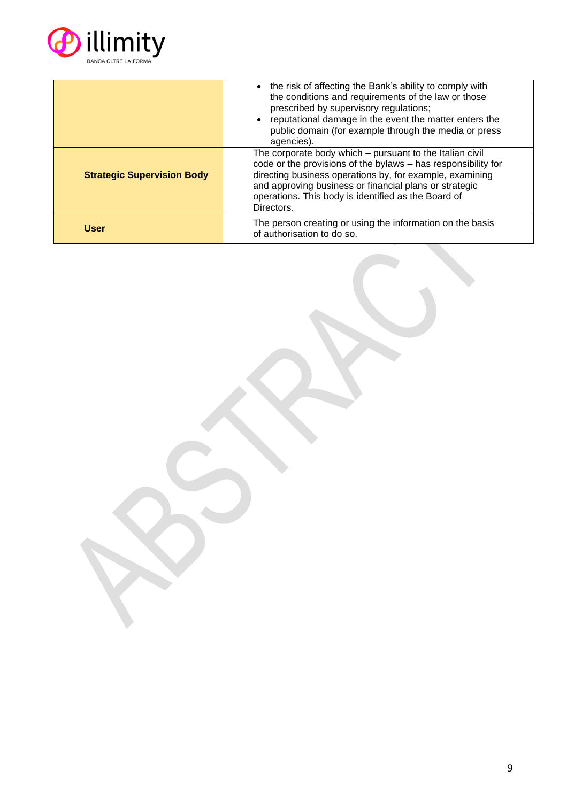

|                                   | • the risk of affecting the Bank's ability to comply with<br>the conditions and requirements of the law or those<br>prescribed by supervisory regulations;<br>reputational damage in the event the matter enters the<br>public domain (for example through the media or press<br>agencies).                          |
|-----------------------------------|----------------------------------------------------------------------------------------------------------------------------------------------------------------------------------------------------------------------------------------------------------------------------------------------------------------------|
| <b>Strategic Supervision Body</b> | The corporate body which – pursuant to the Italian civil<br>code or the provisions of the bylaws - has responsibility for<br>directing business operations by, for example, examining<br>and approving business or financial plans or strategic<br>operations. This body is identified as the Board of<br>Directors. |
| <b>User</b>                       | The person creating or using the information on the basis<br>of authorisation to do so.                                                                                                                                                                                                                              |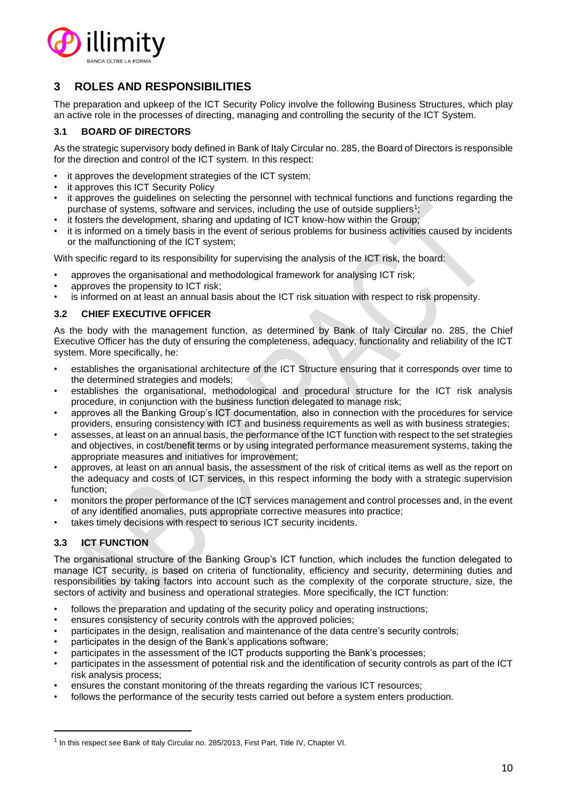

# **3 ROLES AND RESPONSIBILITIES**

The preparation and upkeep of the ICT Security Policy involve the following Business Structures, which play an active role in the processes of directing, managing and controlling the security of the ICT System.

# **3.1 BOARD OF DIRECTORS**

As the strategic supervisory body defined in Bank of Italy Circular no. 285, the Board of Directors is responsible for the direction and control of the ICT system. In this respect:

- it approves the development strategies of the ICT system;
- it approves this ICT Security Policy
- it approves the guidelines on selecting the personnel with technical functions and functions regarding the purchase of systems, software and services, including the use of outside suppliers<sup>1</sup>;
- it fosters the development, sharing and updating of ICT know-how within the Group;
- it is informed on a timely basis in the event of serious problems for business activities caused by incidents or the malfunctioning of the ICT system;

With specific regard to its responsibility for supervising the analysis of the ICT risk, the board:

- approves the organisational and methodological framework for analysing ICT risk;
- approves the propensity to ICT risk;
- is informed on at least an annual basis about the ICT risk situation with respect to risk propensity.

# **3.2 CHIEF EXECUTIVE OFFICER**

As the body with the management function, as determined by Bank of Italy Circular no. 285, the Chief Executive Officer has the duty of ensuring the completeness, adequacy, functionality and reliability of the ICT system. More specifically, he:

- establishes the organisational architecture of the ICT Structure ensuring that it corresponds over time to the determined strategies and models;
- establishes the organisational, methodological and procedural structure for the ICT risk analysis procedure, in conjunction with the business function delegated to manage risk;
- approves all the Banking Group's ICT documentation, also in connection with the procedures for service providers, ensuring consistency with ICT and business requirements as well as with business strategies;
- assesses, at least on an annual basis, the performance of the ICT function with respect to the set strategies and objectives, in cost/benefit terms or by using integrated performance measurement systems, taking the appropriate measures and initiatives for improvement;
- approves, at least on an annual basis, the assessment of the risk of critical items as well as the report on the adequacy and costs of ICT services, in this respect informing the body with a strategic supervision function;
- monitors the proper performance of the ICT services management and control processes and, in the event of any identified anomalies, puts appropriate corrective measures into practice;
- takes timely decisions with respect to serious ICT security incidents.

# **3.3 ICT FUNCTION**

The organisational structure of the Banking Group's ICT function, which includes the function delegated to manage ICT security, is based on criteria of functionality, efficiency and security, determining duties and responsibilities by taking factors into account such as the complexity of the corporate structure, size, the sectors of activity and business and operational strategies. More specifically, the ICT function:

- follows the preparation and updating of the security policy and operating instructions;
- ensures consistency of security controls with the approved policies;
- participates in the design, realisation and maintenance of the data centre's security controls;
- participates in the design of the Bank's applications software;
- participates in the assessment of the ICT products supporting the Bank's processes;
- participates in the assessment of potential risk and the identification of security controls as part of the ICT risk analysis process;
- ensures the constant monitoring of the threats regarding the various ICT resources;
- follows the performance of the security tests carried out before a system enters production.

 $<sup>1</sup>$  In this respect see Bank of Italy Circular no. 285/2013, First Part, Title IV, Chapter VI.</sup>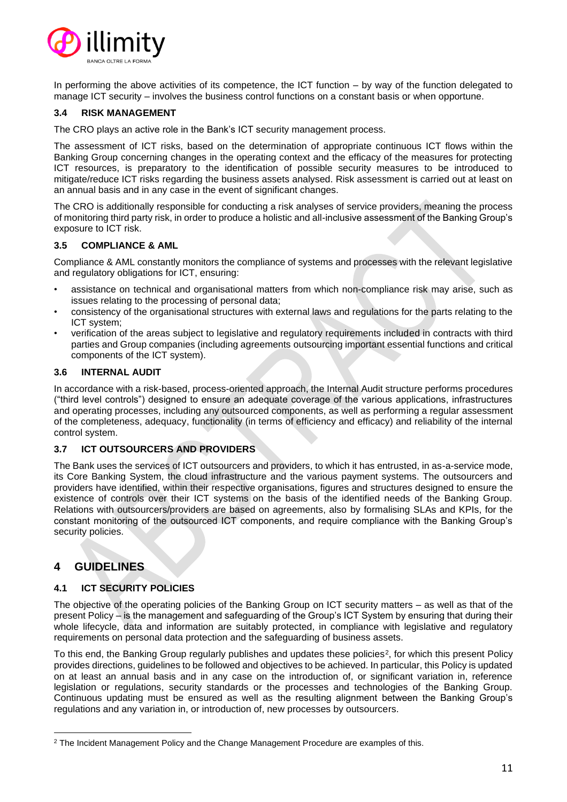

In performing the above activities of its competence, the ICT function – by way of the function delegated to manage ICT security – involves the business control functions on a constant basis or when opportune.

# **3.4 RISK MANAGEMENT**

The CRO plays an active role in the Bank's ICT security management process.

The assessment of ICT risks, based on the determination of appropriate continuous ICT flows within the Banking Group concerning changes in the operating context and the efficacy of the measures for protecting ICT resources, is preparatory to the identification of possible security measures to be introduced to mitigate/reduce ICT risks regarding the business assets analysed. Risk assessment is carried out at least on an annual basis and in any case in the event of significant changes.

The CRO is additionally responsible for conducting a risk analyses of service providers, meaning the process of monitoring third party risk, in order to produce a holistic and all-inclusive assessment of the Banking Group's exposure to ICT risk.

# **3.5 COMPLIANCE & AML**

Compliance & AML constantly monitors the compliance of systems and processes with the relevant legislative and regulatory obligations for ICT, ensuring:

- assistance on technical and organisational matters from which non-compliance risk may arise, such as issues relating to the processing of personal data;
- consistency of the organisational structures with external laws and regulations for the parts relating to the ICT system;
- verification of the areas subject to legislative and regulatory requirements included in contracts with third parties and Group companies (including agreements outsourcing important essential functions and critical components of the ICT system).

# **3.6 INTERNAL AUDIT**

In accordance with a risk-based, process-oriented approach, the Internal Audit structure performs procedures ("third level controls") designed to ensure an adequate coverage of the various applications, infrastructures and operating processes, including any outsourced components, as well as performing a regular assessment of the completeness, adequacy, functionality (in terms of efficiency and efficacy) and reliability of the internal control system.

# **3.7 ICT OUTSOURCERS AND PROVIDERS**

The Bank uses the services of ICT outsourcers and providers, to which it has entrusted, in as-a-service mode, its Core Banking System, the cloud infrastructure and the various payment systems. The outsourcers and providers have identified, within their respective organisations, figures and structures designed to ensure the existence of controls over their ICT systems on the basis of the identified needs of the Banking Group. Relations with outsourcers/providers are based on agreements, also by formalising SLAs and KPIs, for the constant monitoring of the outsourced ICT components, and require compliance with the Banking Group's security policies.

# **4 GUIDELINES**

# **4.1 ICT SECURITY POLICIES**

The objective of the operating policies of the Banking Group on ICT security matters – as well as that of the present Policy – is the management and safeguarding of the Group's ICT System by ensuring that during their whole lifecycle, data and information are suitably protected, in compliance with legislative and regulatory requirements on personal data protection and the safeguarding of business assets.

To this end, the Banking Group regularly publishes and updates these policies<sup>2</sup>, for which this present Policy provides directions, guidelines to be followed and objectives to be achieved. In particular, this Policy is updated on at least an annual basis and in any case on the introduction of, or significant variation in, reference legislation or regulations, security standards or the processes and technologies of the Banking Group. Continuous updating must be ensured as well as the resulting alignment between the Banking Group's regulations and any variation in, or introduction of, new processes by outsourcers.

<sup>&</sup>lt;sup>2</sup> The Incident Management Policy and the Change Management Procedure are examples of this.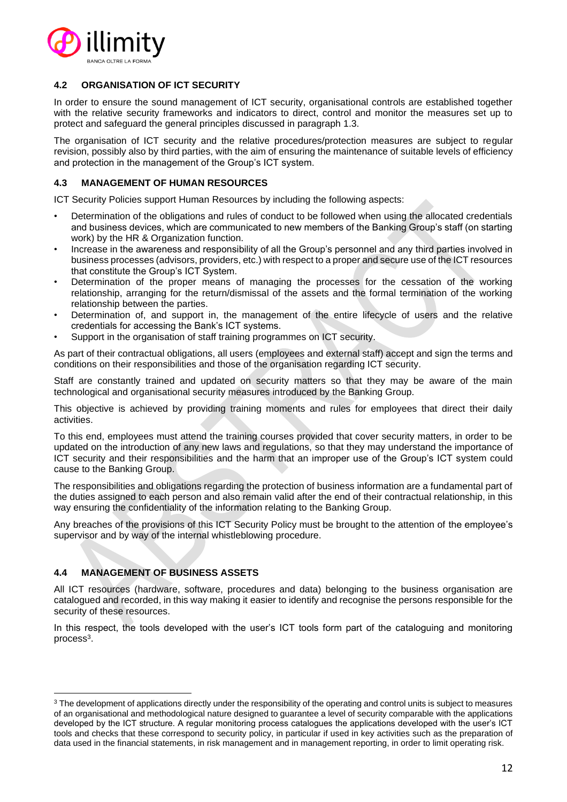

# **4.2 ORGANISATION OF ICT SECURITY**

In order to ensure the sound management of ICT security, organisational controls are established together with the relative security frameworks and indicators to direct, control and monitor the measures set up to protect and safeguard the general principles discussed in paragraph 1.3.

The organisation of ICT security and the relative procedures/protection measures are subject to regular revision, possibly also by third parties, with the aim of ensuring the maintenance of suitable levels of efficiency and protection in the management of the Group's ICT system.

# **4.3 MANAGEMENT OF HUMAN RESOURCES**

ICT Security Policies support Human Resources by including the following aspects:

- Determination of the obligations and rules of conduct to be followed when using the allocated credentials and business devices, which are communicated to new members of the Banking Group's staff (on starting work) by the HR & Organization function.
- Increase in the awareness and responsibility of all the Group's personnel and any third parties involved in business processes (advisors, providers, etc.) with respect to a proper and secure use of the ICT resources that constitute the Group's ICT System.
- Determination of the proper means of managing the processes for the cessation of the working relationship, arranging for the return/dismissal of the assets and the formal termination of the working relationship between the parties.
- Determination of, and support in, the management of the entire lifecycle of users and the relative credentials for accessing the Bank's ICT systems.
- Support in the organisation of staff training programmes on ICT security.

As part of their contractual obligations, all users (employees and external staff) accept and sign the terms and conditions on their responsibilities and those of the organisation regarding ICT security.

Staff are constantly trained and updated on security matters so that they may be aware of the main technological and organisational security measures introduced by the Banking Group.

This objective is achieved by providing training moments and rules for employees that direct their daily activities.

To this end, employees must attend the training courses provided that cover security matters, in order to be updated on the introduction of any new laws and regulations, so that they may understand the importance of ICT security and their responsibilities and the harm that an improper use of the Group's ICT system could cause to the Banking Group.

The responsibilities and obligations regarding the protection of business information are a fundamental part of the duties assigned to each person and also remain valid after the end of their contractual relationship, in this way ensuring the confidentiality of the information relating to the Banking Group.

Any breaches of the provisions of this ICT Security Policy must be brought to the attention of the employee's supervisor and by way of the internal whistleblowing procedure.

# **4.4 MANAGEMENT OF BUSINESS ASSETS**

All ICT resources (hardware, software, procedures and data) belonging to the business organisation are catalogued and recorded, in this way making it easier to identify and recognise the persons responsible for the security of these resources.

In this respect, the tools developed with the user's ICT tools form part of the cataloguing and monitoring process $^3$ .

<sup>&</sup>lt;sup>3</sup> The development of applications directly under the responsibility of the operating and control units is subject to measures of an organisational and methodological nature designed to guarantee a level of security comparable with the applications developed by the ICT structure. A regular monitoring process catalogues the applications developed with the user's ICT tools and checks that these correspond to security policy, in particular if used in key activities such as the preparation of data used in the financial statements, in risk management and in management reporting, in order to limit operating risk.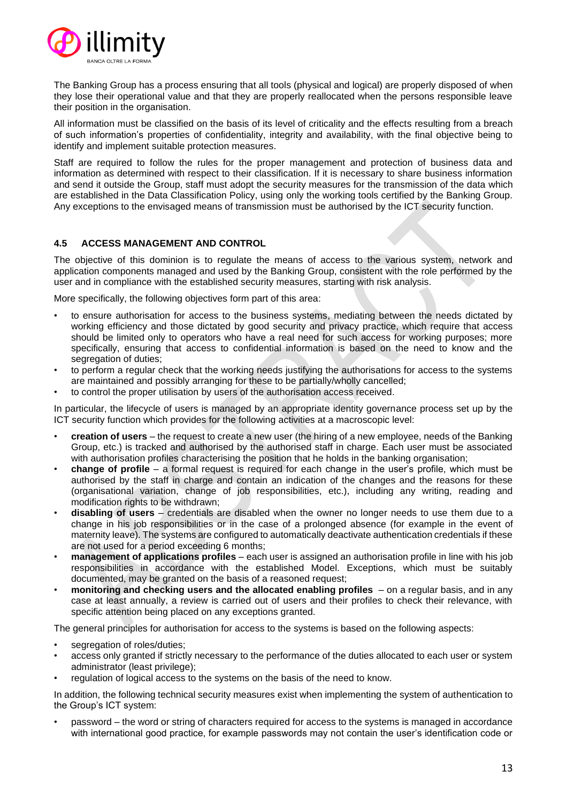

The Banking Group has a process ensuring that all tools (physical and logical) are properly disposed of when they lose their operational value and that they are properly reallocated when the persons responsible leave their position in the organisation.

All information must be classified on the basis of its level of criticality and the effects resulting from a breach of such information's properties of confidentiality, integrity and availability, with the final objective being to identify and implement suitable protection measures.

Staff are required to follow the rules for the proper management and protection of business data and information as determined with respect to their classification. If it is necessary to share business information and send it outside the Group, staff must adopt the security measures for the transmission of the data which are established in the Data Classification Policy, using only the working tools certified by the Banking Group. Any exceptions to the envisaged means of transmission must be authorised by the ICT security function.

# **4.5 ACCESS MANAGEMENT AND CONTROL**

The objective of this dominion is to regulate the means of access to the various system, network and application components managed and used by the Banking Group, consistent with the role performed by the user and in compliance with the established security measures, starting with risk analysis.

More specifically, the following objectives form part of this area:

- to ensure authorisation for access to the business systems, mediating between the needs dictated by working efficiency and those dictated by good security and privacy practice, which require that access should be limited only to operators who have a real need for such access for working purposes; more specifically, ensuring that access to confidential information is based on the need to know and the segregation of duties;
- to perform a regular check that the working needs justifying the authorisations for access to the systems are maintained and possibly arranging for these to be partially/wholly cancelled;
- to control the proper utilisation by users of the authorisation access received.

In particular, the lifecycle of users is managed by an appropriate identity governance process set up by the ICT security function which provides for the following activities at a macroscopic level:

- **creation of users** the request to create a new user (the hiring of a new employee, needs of the Banking Group, etc.) is tracked and authorised by the authorised staff in charge. Each user must be associated with authorisation profiles characterising the position that he holds in the banking organisation;
- **change of profile** a formal request is required for each change in the user's profile, which must be authorised by the staff in charge and contain an indication of the changes and the reasons for these (organisational variation, change of job responsibilities, etc.), including any writing, reading and modification rights to be withdrawn;
- **disabling of users** credentials are disabled when the owner no longer needs to use them due to a change in his job responsibilities or in the case of a prolonged absence (for example in the event of maternity leave). The systems are configured to automatically deactivate authentication credentials if these are not used for a period exceeding 6 months;
- **management of applications profiles** each user is assigned an authorisation profile in line with his job responsibilities in accordance with the established Model. Exceptions, which must be suitably documented, may be granted on the basis of a reasoned request;
- **monitoring and checking users and the allocated enabling profiles**  on a regular basis, and in any case at least annually, a review is carried out of users and their profiles to check their relevance, with specific attention being placed on any exceptions granted.

The general principles for authorisation for access to the systems is based on the following aspects:

- segregation of roles/duties;
- access only granted if strictly necessary to the performance of the duties allocated to each user or system administrator (least privilege);
- regulation of logical access to the systems on the basis of the need to know.

In addition, the following technical security measures exist when implementing the system of authentication to the Group's ICT system:

• password – the word or string of characters required for access to the systems is managed in accordance with international good practice, for example passwords may not contain the user's identification code or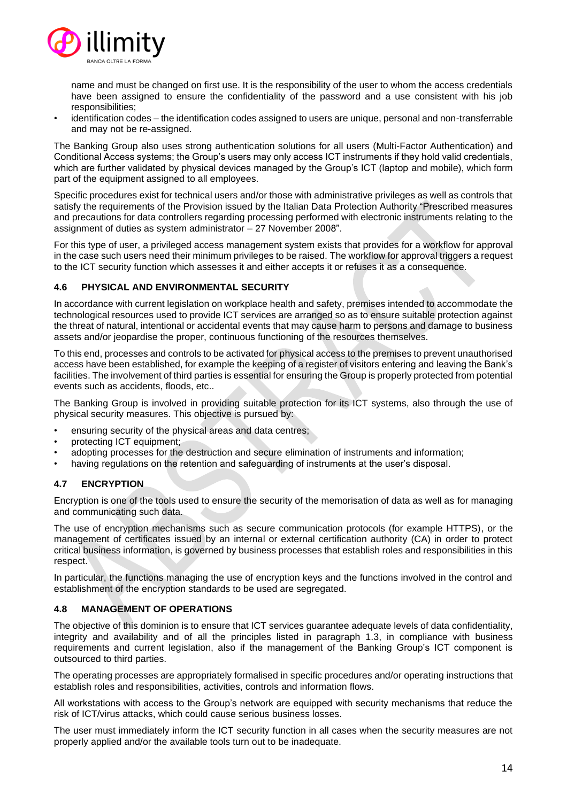

name and must be changed on first use. It is the responsibility of the user to whom the access credentials have been assigned to ensure the confidentiality of the password and a use consistent with his job responsibilities;

• identification codes – the identification codes assigned to users are unique, personal and non-transferrable and may not be re-assigned.

The Banking Group also uses strong authentication solutions for all users (Multi-Factor Authentication) and Conditional Access systems; the Group's users may only access ICT instruments if they hold valid credentials, which are further validated by physical devices managed by the Group's ICT (laptop and mobile), which form part of the equipment assigned to all employees.

Specific procedures exist for technical users and/or those with administrative privileges as well as controls that satisfy the requirements of the Provision issued by the Italian Data Protection Authority "Prescribed measures and precautions for data controllers regarding processing performed with electronic instruments relating to the assignment of duties as system administrator – 27 November 2008".

For this type of user, a privileged access management system exists that provides for a workflow for approval in the case such users need their minimum privileges to be raised. The workflow for approval triggers a request to the ICT security function which assesses it and either accepts it or refuses it as a consequence.

# **4.6 PHYSICAL AND ENVIRONMENTAL SECURITY**

In accordance with current legislation on workplace health and safety, premises intended to accommodate the technological resources used to provide ICT services are arranged so as to ensure suitable protection against the threat of natural, intentional or accidental events that may cause harm to persons and damage to business assets and/or jeopardise the proper, continuous functioning of the resources themselves.

To this end, processes and controls to be activated for physical access to the premises to prevent unauthorised access have been established, for example the keeping of a register of visitors entering and leaving the Bank's facilities. The involvement of third parties is essential for ensuring the Group is properly protected from potential events such as accidents, floods, etc..

The Banking Group is involved in providing suitable protection for its ICT systems, also through the use of physical security measures. This objective is pursued by:

- ensuring security of the physical areas and data centres;
- protecting ICT equipment;
- adopting processes for the destruction and secure elimination of instruments and information;
- having regulations on the retention and safeguarding of instruments at the user's disposal.

# **4.7 ENCRYPTION**

Encryption is one of the tools used to ensure the security of the memorisation of data as well as for managing and communicating such data.

The use of encryption mechanisms such as secure communication protocols (for example HTTPS), or the management of certificates issued by an internal or external certification authority (CA) in order to protect critical business information, is governed by business processes that establish roles and responsibilities in this respect.

In particular, the functions managing the use of encryption keys and the functions involved in the control and establishment of the encryption standards to be used are segregated.

# **4.8 MANAGEMENT OF OPERATIONS**

The objective of this dominion is to ensure that ICT services guarantee adequate levels of data confidentiality, integrity and availability and of all the principles listed in paragraph 1.3, in compliance with business requirements and current legislation, also if the management of the Banking Group's ICT component is outsourced to third parties.

The operating processes are appropriately formalised in specific procedures and/or operating instructions that establish roles and responsibilities, activities, controls and information flows.

All workstations with access to the Group's network are equipped with security mechanisms that reduce the risk of ICT/virus attacks, which could cause serious business losses.

The user must immediately inform the ICT security function in all cases when the security measures are not properly applied and/or the available tools turn out to be inadequate.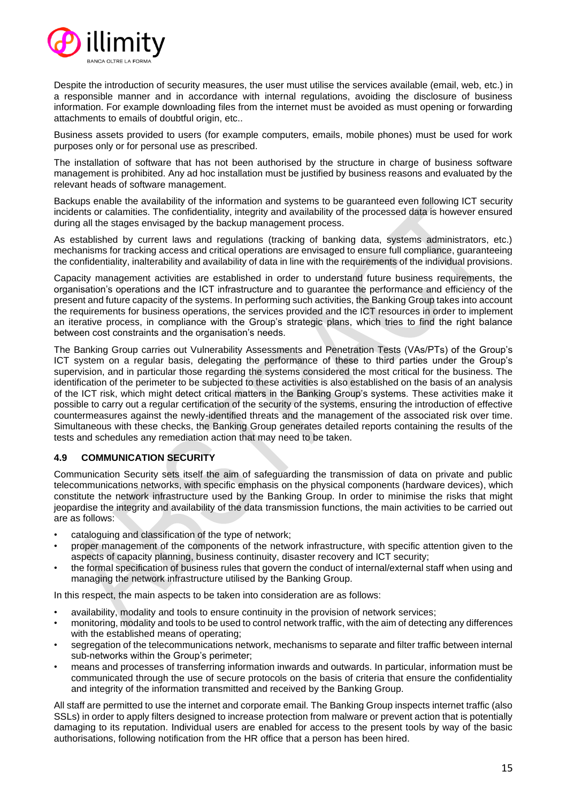

Despite the introduction of security measures, the user must utilise the services available (email, web, etc.) in a responsible manner and in accordance with internal regulations, avoiding the disclosure of business information. For example downloading files from the internet must be avoided as must opening or forwarding attachments to emails of doubtful origin, etc..

Business assets provided to users (for example computers, emails, mobile phones) must be used for work purposes only or for personal use as prescribed.

The installation of software that has not been authorised by the structure in charge of business software management is prohibited. Any ad hoc installation must be justified by business reasons and evaluated by the relevant heads of software management.

Backups enable the availability of the information and systems to be guaranteed even following ICT security incidents or calamities. The confidentiality, integrity and availability of the processed data is however ensured during all the stages envisaged by the backup management process.

As established by current laws and regulations (tracking of banking data, systems administrators, etc.) mechanisms for tracking access and critical operations are envisaged to ensure full compliance, guaranteeing the confidentiality, inalterability and availability of data in line with the requirements of the individual provisions.

Capacity management activities are established in order to understand future business requirements, the organisation's operations and the ICT infrastructure and to guarantee the performance and efficiency of the present and future capacity of the systems. In performing such activities, the Banking Group takes into account the requirements for business operations, the services provided and the ICT resources in order to implement an iterative process, in compliance with the Group's strategic plans, which tries to find the right balance between cost constraints and the organisation's needs.

The Banking Group carries out Vulnerability Assessments and Penetration Tests (VAs/PTs) of the Group's ICT system on a regular basis, delegating the performance of these to third parties under the Group's supervision, and in particular those regarding the systems considered the most critical for the business. The identification of the perimeter to be subjected to these activities is also established on the basis of an analysis of the ICT risk, which might detect critical matters in the Banking Group's systems. These activities make it possible to carry out a regular certification of the security of the systems, ensuring the introduction of effective countermeasures against the newly-identified threats and the management of the associated risk over time. Simultaneous with these checks, the Banking Group generates detailed reports containing the results of the tests and schedules any remediation action that may need to be taken.

# **4.9 COMMUNICATION SECURITY**

Communication Security sets itself the aim of safeguarding the transmission of data on private and public telecommunications networks, with specific emphasis on the physical components (hardware devices), which constitute the network infrastructure used by the Banking Group. In order to minimise the risks that might jeopardise the integrity and availability of the data transmission functions, the main activities to be carried out are as follows:

- cataloguing and classification of the type of network;
- proper management of the components of the network infrastructure, with specific attention given to the aspects of capacity planning, business continuity, disaster recovery and ICT security;
- the formal specification of business rules that govern the conduct of internal/external staff when using and managing the network infrastructure utilised by the Banking Group.

In this respect, the main aspects to be taken into consideration are as follows:

- availability, modality and tools to ensure continuity in the provision of network services;
- monitoring, modality and tools to be used to control network traffic, with the aim of detecting any differences with the established means of operating;
- segregation of the telecommunications network, mechanisms to separate and filter traffic between internal sub-networks within the Group's perimeter;
- means and processes of transferring information inwards and outwards. In particular, information must be communicated through the use of secure protocols on the basis of criteria that ensure the confidentiality and integrity of the information transmitted and received by the Banking Group.

All staff are permitted to use the internet and corporate email. The Banking Group inspects internet traffic (also SSLs) in order to apply filters designed to increase protection from malware or prevent action that is potentially damaging to its reputation. Individual users are enabled for access to the present tools by way of the basic authorisations, following notification from the HR office that a person has been hired.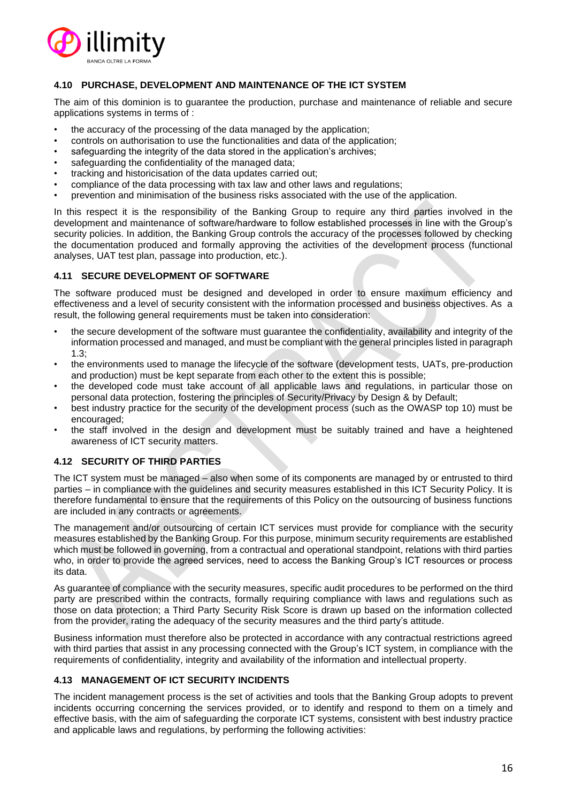

# **4.10 PURCHASE, DEVELOPMENT AND MAINTENANCE OF THE ICT SYSTEM**

The aim of this dominion is to guarantee the production, purchase and maintenance of reliable and secure applications systems in terms of :

- the accuracy of the processing of the data managed by the application;
- controls on authorisation to use the functionalities and data of the application;
- safeguarding the integrity of the data stored in the application's archives;
- safeguarding the confidentiality of the managed data;
- tracking and historicisation of the data updates carried out;
- compliance of the data processing with tax law and other laws and regulations;
- prevention and minimisation of the business risks associated with the use of the application.

In this respect it is the responsibility of the Banking Group to require any third parties involved in the development and maintenance of software/hardware to follow established processes in line with the Group's security policies. In addition, the Banking Group controls the accuracy of the processes followed by checking the documentation produced and formally approving the activities of the development process (functional analyses, UAT test plan, passage into production, etc.).

#### **4.11 SECURE DEVELOPMENT OF SOFTWARE**

The software produced must be designed and developed in order to ensure maximum efficiency and effectiveness and a level of security consistent with the information processed and business objectives. As a result, the following general requirements must be taken into consideration:

- the secure development of the software must guarantee the confidentiality, availability and integrity of the information processed and managed, and must be compliant with the general principles listed in paragraph 1.3;
- the environments used to manage the lifecycle of the software (development tests, UATs, pre-production and production) must be kept separate from each other to the extent this is possible;
- the developed code must take account of all applicable laws and regulations, in particular those on personal data protection, fostering the principles of Security/Privacy by Design & by Default;
- best industry practice for the security of the development process (such as the OWASP top 10) must be encouraged;
- the staff involved in the design and development must be suitably trained and have a heightened awareness of ICT security matters.

# **4.12 SECURITY OF THIRD PARTIES**

The ICT system must be managed – also when some of its components are managed by or entrusted to third parties – in compliance with the guidelines and security measures established in this ICT Security Policy. It is therefore fundamental to ensure that the requirements of this Policy on the outsourcing of business functions are included in any contracts or agreements.

The management and/or outsourcing of certain ICT services must provide for compliance with the security measures established by the Banking Group. For this purpose, minimum security requirements are established which must be followed in governing, from a contractual and operational standpoint, relations with third parties who, in order to provide the agreed services, need to access the Banking Group's ICT resources or process its data.

As guarantee of compliance with the security measures, specific audit procedures to be performed on the third party are prescribed within the contracts, formally requiring compliance with laws and regulations such as those on data protection; a Third Party Security Risk Score is drawn up based on the information collected from the provider, rating the adequacy of the security measures and the third party's attitude.

Business information must therefore also be protected in accordance with any contractual restrictions agreed with third parties that assist in any processing connected with the Group's ICT system, in compliance with the requirements of confidentiality, integrity and availability of the information and intellectual property.

# **4.13 MANAGEMENT OF ICT SECURITY INCIDENTS**

The incident management process is the set of activities and tools that the Banking Group adopts to prevent incidents occurring concerning the services provided, or to identify and respond to them on a timely and effective basis, with the aim of safeguarding the corporate ICT systems, consistent with best industry practice and applicable laws and regulations, by performing the following activities: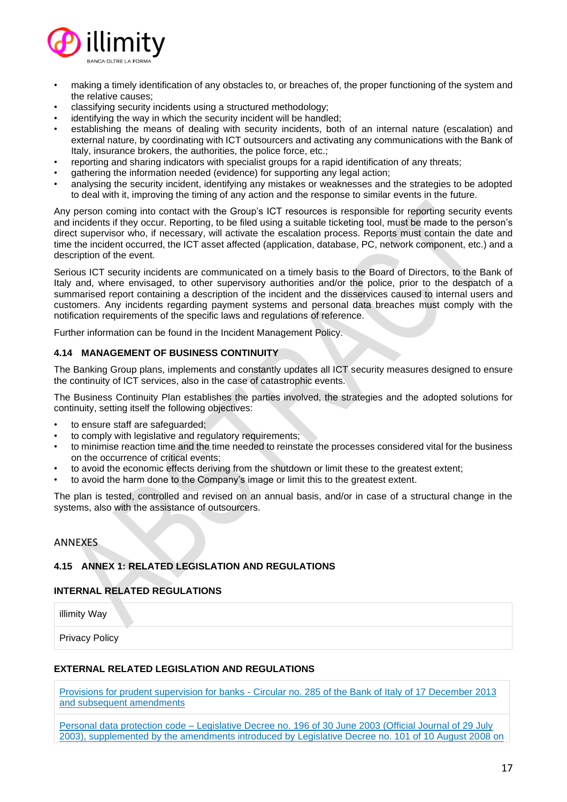

- making a timely identification of any obstacles to, or breaches of, the proper functioning of the system and the relative causes;
- classifying security incidents using a structured methodology;
- identifying the way in which the security incident will be handled;
- establishing the means of dealing with security incidents, both of an internal nature (escalation) and external nature, by coordinating with ICT outsourcers and activating any communications with the Bank of Italy, insurance brokers, the authorities, the police force, etc.;
- reporting and sharing indicators with specialist groups for a rapid identification of any threats;
- gathering the information needed (evidence) for supporting any legal action;
- analysing the security incident, identifying any mistakes or weaknesses and the strategies to be adopted to deal with it, improving the timing of any action and the response to similar events in the future.

Any person coming into contact with the Group's ICT resources is responsible for reporting security events and incidents if they occur. Reporting, to be filed using a suitable ticketing tool, must be made to the person's direct supervisor who, if necessary, will activate the escalation process. Reports must contain the date and time the incident occurred, the ICT asset affected (application, database, PC, network component, etc.) and a description of the event.

Serious ICT security incidents are communicated on a timely basis to the Board of Directors, to the Bank of Italy and, where envisaged, to other supervisory authorities and/or the police, prior to the despatch of a summarised report containing a description of the incident and the disservices caused to internal users and customers. Any incidents regarding payment systems and personal data breaches must comply with the notification requirements of the specific laws and regulations of reference.

Further information can be found in the Incident Management Policy.

# **4.14 MANAGEMENT OF BUSINESS CONTINUITY**

The Banking Group plans, implements and constantly updates all ICT security measures designed to ensure the continuity of ICT services, also in the case of catastrophic events.

The Business Continuity Plan establishes the parties involved, the strategies and the adopted solutions for continuity, setting itself the following objectives:

- to ensure staff are safeguarded;
- to comply with legislative and regulatory requirements;
- to minimise reaction time and the time needed to reinstate the processes considered vital for the business on the occurrence of critical events;
- to avoid the economic effects deriving from the shutdown or limit these to the greatest extent;
- to avoid the harm done to the Company's image or limit this to the greatest extent.

The plan is tested, controlled and revised on an annual basis, and/or in case of a structural change in the systems, also with the assistance of outsourcers.

# ANNEXES

# **4.15 ANNEX 1: RELATED LEGISLATION AND REGULATIONS**

# **INTERNAL RELATED REGULATIONS**

illimity Way

Privacy Policy

# **EXTERNAL RELATED LEGISLATION AND REGULATIONS**

[Provisions for prudent supervision for banks](https://www.bancaditalia.it/compiti/vigilanza/normativa/archivio-norme/circolari/c285/index.html) - Circular no. 285 of the Bank of Italy of 17 December 2013 and subsequent amendments

Personal data protection code – [Legislative Decree no. 196 of 30 June 2003](https://www.camera.it/parlam/leggi/deleghe/03196dl.htm) (Official Journal of 29 July [2003\), supplemented by the amendments introduced by Legislative Decree no. 101 of 10 August 2008 on](https://www.camera.it/parlam/leggi/deleghe/03196dl.htm)